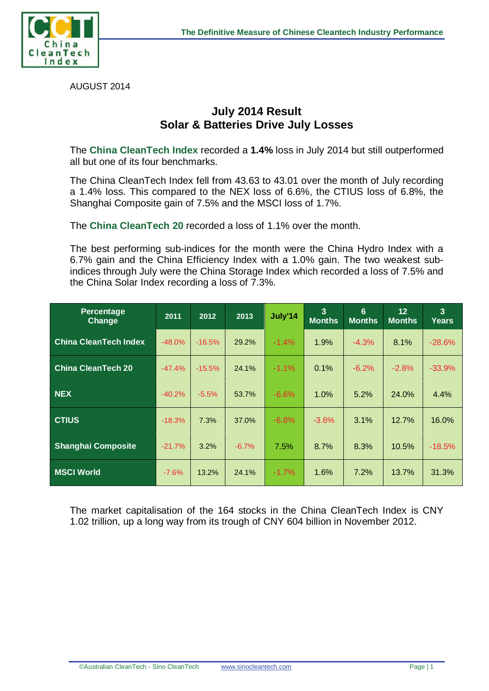



AUGUST 2014

## **July 2014 Result Solar & Batteries Drive July Losses**

The **China CleanTech Index** recorded a **1.4%** loss in July 2014 but still outperformed all but one of its four benchmarks.

The China CleanTech Index fell from 43.63 to 43.01 over the month of July recording a 1.4% loss. This compared to the NEX loss of 6.6%, the CTIUS loss of 6.8%, the Shanghai Composite gain of 7.5% and the MSCI loss of 1.7%.

The **China CleanTech 20** recorded a loss of 1.1% over the month.

The best performing sub-indices for the month were the China Hydro Index with a 6.7% gain and the China Efficiency Index with a 1.0% gain. The two weakest subindices through July were the China Storage Index which recorded a loss of 7.5% and the China Solar Index recording a loss of 7.3%.

| Percentage<br>Change         | 2011     | 2012     | 2013    | July'14 | $\overline{3}$<br><b>Months</b> | 6<br><b>Months</b> | 12<br><b>Months</b> | $\overline{3}$<br>Years |
|------------------------------|----------|----------|---------|---------|---------------------------------|--------------------|---------------------|-------------------------|
| <b>China CleanTech Index</b> | $-48.0%$ | $-16.5%$ | 29.2%   | $-1.4%$ | 1.9%                            | $-4.3%$            | 8.1%                | $-28.6%$                |
| <b>China CleanTech 20</b>    | $-47.4%$ | $-15.5%$ | 24.1%   | $-1.1%$ | 0.1%                            | $-6.2%$            | $-2.8%$             | $-33.9%$                |
| <b>NEX</b>                   | $-40.2%$ | $-5.5%$  | 53.7%   | $-6.6%$ | 1.0%                            | 5.2%               | 24.0%               | 4.4%                    |
| <b>CTIUS</b>                 | $-18.3%$ | 7.3%     | 37.0%   | $-6.8%$ | $-3.6%$                         | 3.1%               | 12.7%               | 16.0%                   |
| <b>Shanghai Composite</b>    | $-21.7%$ | 3.2%     | $-6.7%$ | 7.5%    | 8.7%                            | 8.3%               | 10.5%               | $-18.5%$                |
| <b>MSCI World</b>            | $-7.6%$  | 13.2%    | 24.1%   | $-1.7%$ | 1.6%                            | 7.2%               | 13.7%               | 31.3%                   |

The market capitalisation of the 164 stocks in the China CleanTech Index is CNY 1.02 trillion, up a long way from its trough of CNY 604 billion in November 2012.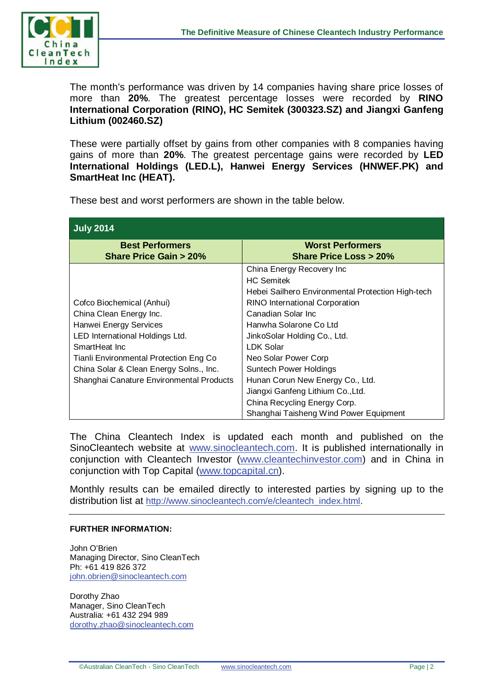

The month's performance was driven by 14 companies having share price losses of more than **20%**. The greatest percentage losses were recorded by **RINO International Corporation (RINO), HC Semitek (300323.SZ) and Jiangxi Ganfeng Lithium (002460.SZ)** 

These were partially offset by gains from other companies with 8 companies having gains of more than **20%**. The greatest percentage gains were recorded by **LED International Holdings (LED.L), Hanwei Energy Services (HNWEF.PK) and SmartHeat Inc (HEAT).**

These best and worst performers are shown in the table below.

| <b>July 2014</b>                                                                                                              |                                                                                                                         |  |  |  |  |
|-------------------------------------------------------------------------------------------------------------------------------|-------------------------------------------------------------------------------------------------------------------------|--|--|--|--|
| <b>Best Performers</b><br><b>Share Price Gain &gt; 20%</b>                                                                    | <b>Worst Performers</b><br><b>Share Price Loss &gt; 20%</b>                                                             |  |  |  |  |
|                                                                                                                               | China Energy Recovery Inc<br><b>HC Semitek</b><br>Hebei Sailhero Environmental Protection High-tech                     |  |  |  |  |
| Cofco Biochemical (Anhui)<br>China Clean Energy Inc.<br>Hanwei Energy Services                                                | <b>RINO International Corporation</b><br>Canadian Solar Inc.<br>Hanwha Solarone Co Ltd                                  |  |  |  |  |
| LED International Holdings Ltd.<br>SmartHeat Inc.                                                                             | JinkoSolar Holding Co., Ltd.<br><b>LDK Solar</b>                                                                        |  |  |  |  |
| Tianli Environmental Protection Eng Co<br>China Solar & Clean Energy Solns., Inc.<br>Shanghai Canature Environmental Products | Neo Solar Power Corp<br>Suntech Power Holdings<br>Hunan Corun New Energy Co., Ltd.<br>Jiangxi Ganfeng Lithium Co., Ltd. |  |  |  |  |
|                                                                                                                               | China Recycling Energy Corp.<br>Shanghai Taisheng Wind Power Equipment                                                  |  |  |  |  |

The China Cleantech Index is updated each month and published on the SinoCleantech website at [www.sinocleantech.com.](http://www.sinocleantech.com/) It is published internationally in conjunction with Cleantech Investor [\(www.cleantechinvestor.com\)](http://www.cleantechinvestor.com/) and in China in conjunction with Top Capital [\(www.topcapital.cn\)](http://www.topcapital.cn/).

Monthly results can be emailed directly to interested parties by signing up to the distribution list at [http://www.sinocleantech.com/e/cleantech\\_index.html.](http://www.sinocleantech.com/e/cleantech_index.html)

## **FURTHER INFORMATION:**

John O'Brien Managing Director, Sino CleanTech Ph: +61 419 826 372 [john.obrien@sinocleantech.com](mailto:john.obrien@sinocleantech.com) 

Dorothy Zhao Manager, Sino CleanTech Australia: +61 432 294 989 [dorothy.zhao@sinocleantech.com](mailto:dorothy.zhao@sinocleantech.com)